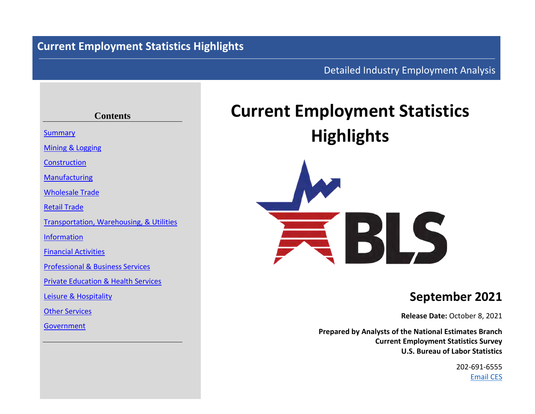# **Current Employment Statistics Highlights**

# Detailed Industry Employment Analysis

# **Contents** [Summary](#page-3-0) [Mining](#page-4-0) & [Logging](#page-4-0) [Construction](#page-5-0) [Manufacturing](#page-6-0) [Wholesale](#page-7-0) Trade [Retail](#page-8-0) Trade [Transportation, Warehousing,](#page-9-0) & [Utilities](#page-10-0) [Information](#page-11-0) [Financial](#page-12-0) [Activities](#page-12-0) [Professional](#page-13-0) & [Business](#page-13-0) Services [Private](#page-14-0) [Education](#page-14-0) & [Health](#page-14-0) Services [Leisure](#page-15-0) & [Hospitality](#page-15-0) [Other](#page-16-0) Services [Government](#page-17-0)

# **Current Employment Statistics Highlights**



# **September 2021**

**Release Date:** October 8, 2021

**Prepared by Analysts of the National Estimates Branch Current Employment Statistics Survey U.S. Bureau of Labor Statistics**

> 202-691-6555 [Email CES](http://data.bls.gov/cgi-bin/forms/ces?/ces/home.htm)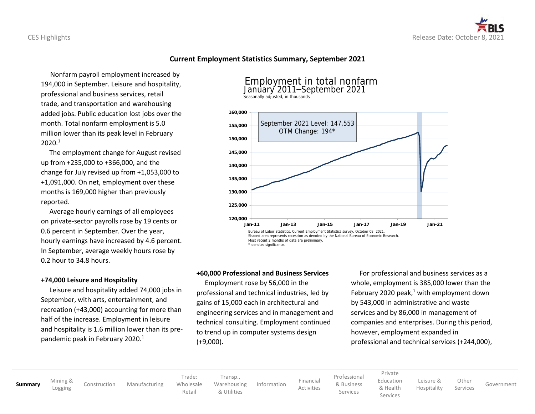### **Current Employment Statistics Summary, September 2021**

 Nonfarm payroll employment increased by 194,000 in September. Leisure and hospitality, professional and business services, retail trade, and transportation and warehousing added jobs. Public education lost jobs over the month. Total nonfarm employment is 5.0 million lower than its peak level in February  $2020.<sup>1</sup>$ 

 The employment change for August revised up from +235,000 to +366,000, and the change for July revised up from +1,053,000 to +1,091,000. On net, employment over these months is 169,000 higher than previously reported.

 Average hourly earnings of all employees on private-sector payrolls rose by 19 cents or 0.6 percent in September. Over the year, hourly earnings have increased by 4.6 percent. In September, average weekly hours rose by 0.2 hour to 34.8 hours.

### **+74,000 Leisure and Hospitality**

 Leisure and hospitality added 74,000 jobs in September, with arts, entertainment, and recreation (+43,000) accounting for more than half of the increase. Employment in leisure and hospitality is 1.6 million lower than its prepandemic peak in February 2020. $1$ 



### **+60,000 Professional and Business Services**

 Employment rose by 56,000 in the professional and technical industries, led by gains of 15,000 each in architectural and engineering services and in management and technical consulting. Employment continued to trend up in computer systems design (+9,000).

 For professional and business services as a whole, employment is 385,000 lower than the February 2020 peak, $1$  with employment down by 543,000 in administrative and waste services and by 86,000 in management of companies and enterprises. During this period, however, employment expanded in professional and technical services (+244,000),

**[Summary](#page-3-0)** [Mining](#page-4-0) &

[Construction](#page-5-0) [Manufacturing](#page-6-0)

Trade: [Wholesale](#page-7-0)

[Retail](#page-8-0)

[Transp.,](#page-9-0) [Warehousing](#page-9-0) [& Utilities](#page-10-0)

[Information](#page-11-0) [Financial](#page-12-0)

[Professional](#page-13-0) [& Business](#page-13-0) Services

[Activities](#page-12-0)

[Private](#page-14-0) [Education](#page-14-0)

> [& Health](#page-14-0) Services

[Leisure](#page-15-0) & [Hospitality](#page-15-0)

Services [Government](#page-17-0)

**[Other](#page-16-0)**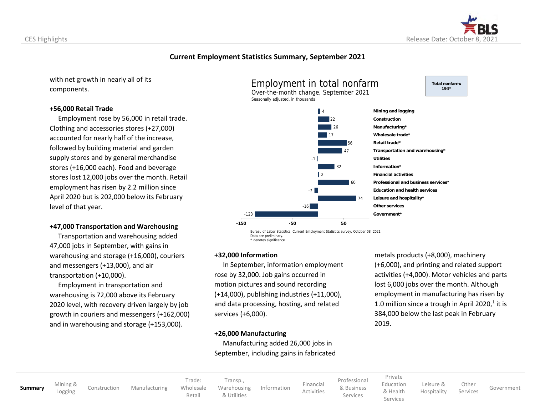

**Total nonfarm: 194\***

### **Current Employment Statistics Summary, September 2021**

with net growth in nearly all of its components.

#### **+56,000 Retail Trade**

CES Highlights

 Employment rose by 56,000 in retail trade. Clothing and accessories stores (+27,000) accounted for nearly half of the increase, followed by building material and garden supply stores and by general merchandise stores (+16,000 each). Food and beverage stores lost 12,000 jobs over the month. Retail employment has risen by 2.2 million since April 2020 but is 202,000 below its February level of that year.

#### **+47,000 Transportation and Warehousing**

 Transportation and warehousing added 47,000 jobs in September, with gains in warehousing and storage (+16,000), couriers and messengers (+13,000), and air transportation (+10,000).

 Employment in transportation and warehousing is 72,000 above its February 2020 level, with recovery driven largely by job growth in couriers and messengers (+162,000) and in warehousing and storage (+153,000).





Bureau of Labor Statistics, Current Employment Statistics survey, October 08, 2021. Data are preliminary. \* denotes significance

#### **+32,000 Information**

-123

 In September, information employment rose by 32,000. Job gains occurred in motion pictures and sound recording (+14,000), publishing industries (+11,000), and data processing, hosting, and related services (+6,000).

#### **+26,000 Manufacturing**

 Manufacturing added 26,000 jobs in September, including gains in fabricated metals products (+8,000), machinery (+6,000), and printing and related support activities (+4,000). Motor vehicles and parts lost 6,000 jobs over the month. Although employment in manufacturing has risen by 1.0 million since a trough in April 2020, $1$  it is 384,000 below the last peak in February 2019.

**[Summary](#page-3-0)** [Mining](#page-4-0) &

[Construction](#page-5-0) [Manufacturing](#page-6-0)

[Wholesale](#page-7-0) [Transp.,](#page-9-0) [Warehousing](#page-9-0) [& Utilities](#page-10-0)

Trade:

[Retail](#page-8-0)

[Information](#page-11-0) [Financial](#page-12-0) [Activities](#page-12-0) [Professional](#page-13-0) [& Business](#page-13-0) Services

[Private](#page-14-0) [Education](#page-14-0) [& Health](#page-14-0)

Services

[Leisure](#page-15-0) & [Hospitality](#page-15-0) **[Other](#page-16-0)** 

Services [Government](#page-17-0)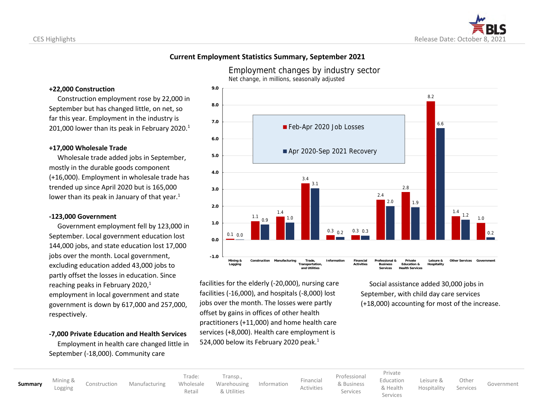

### <span id="page-3-0"></span>**Current Employment Statistics Summary, September 2021**

#### **+22,000 Construction**

 Construction employment rose by 22,000 in September but has changed little, on net, so far this year. Employment in the industry is 201,000 lower than its peak in February 2020. $1$ 

#### **+17,000 Wholesale Trade**

 Wholesale trade added jobs in September, mostly in the durable goods component (+16,000). Employment in wholesale trade has trended up since April 2020 but is 165,000 lower than its peak in January of that year. $1$ 

#### **-123,000 Government**

 Government employment fell by 123,000 in September. Local government education lost 144,000 jobs, and state education lost 17,000 jobs over the month. Local government, excluding education added 43,000 jobs to partly offset the losses in education. Since reaching peaks in February 2020, $1$ employment in local government and state government is down by 617,000 and 257,000, respectively.

#### **-7,000 Private Education and Health Services**

 Employment in health care changed little in September (-18,000). Community care

Employment changes by industry sector Net change, in millions, seasonally adjusted



facilities for the elderly (-20,000), nursing care facilities (-16,000), and hospitals (-8,000) lost jobs over the month. The losses were partly offset by gains in offices of other health practitioners (+11,000) and home health care services (+8,000). Health care employment is 524,000 below its February 2020 peak.<sup>1</sup>

 Social assistance added 30,000 jobs in September, with child day care services (+18,000) accounting for most of the increase.

**[Summary](#page-3-0)** [Mining](#page-4-0) &

[Construction](#page-5-0) [Manufacturing](#page-6-0)

Trade: [Wholesale](#page-7-0) [Retail](#page-8-0) [Transp.](#page-9-0), [Warehousing](#page-9-0) [& Utilities](#page-10-0)

[Information](#page-11-0) [Financial](#page-12-0) [Activities](#page-12-0) [Professional](#page-13-0) [& Business](#page-13-0)

Services

[Private](#page-14-0) [Education](#page-14-0) [& Health](#page-14-0)

Services

[Leisure](#page-15-0) & [Hospitality](#page-15-0)

[Other](#page-16-0) Services [Government](#page-17-0)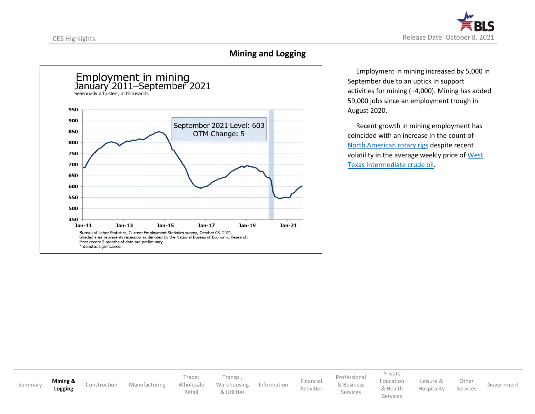<span id="page-4-0"></span>

# **Mining and Logging**



 Employment in mining increased by 5,000 in September due to an uptick in support activities for mining (+4,000). Mining has added 59,000 jobs since an employment trough in August 2020.

 Recent growth in mining employment has coincided with an increase in the count of [North American rotary rigs](https://bakerhughesrigcount.gcs-web.com/na-rig-count) despite recent volatility in the average weekly price of West [Texas Intermediate crude oil.](https://fred.stlouisfed.org/series/DCOILWTICO)

[Summary](#page-3-0) **[Mining](#page-4-0) & [Logging](#page-4-0)** [Construction](#page-5-0) [Manufacturing](#page-6-0) Trade: [Wholesale](#page-7-0) [Retail](#page-8-0) [Transp.](#page-9-0), [Warehousing](#page-9-0) [& Utilities](#page-10-0) [Information](#page-11-0) [Financial](#page-12-0) [Activities](#page-12-0) [Professional](#page-13-0) [& Business](#page-13-0) Services [Private](#page-14-0) [Education](#page-14-0) [& Health](#page-14-0) Services [Leisure](#page-15-0) & [Hospitality](#page-15-0) [Other](#page-16-0) Services [Government](#page-17-0)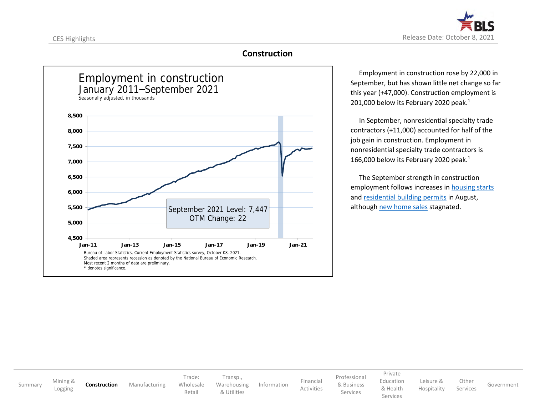<span id="page-5-0"></span>

## **Construction**



 Employment in construction rose by 22,000 in September, but has shown little net change so far this year (+47,000). Construction employment is 201,000 below its February 2020 peak.<sup>1</sup>

 In September, nonresidential specialty trade contractors (+11,000) accounted for half of the job gain in construction. Employment in nonresidential specialty trade contractors is 166,000 below its February 2020 peak.<sup>1</sup>

 The September strength in construction employment follows increases in [housing starts](https://fred.stlouisfed.org/series/HOUST) and [residential building permits](https://fred.stlouisfed.org/series/PERMIT) in August, although [new home sales](https://www.census.gov/construction/nrs/pdf/newressales.pdf) stagnated.

[Summary](#page-3-0) [Mining](#page-4-0) &<br>Logging **[Construction](#page-5-0)** [Manufacturing](#page-6-0) Trade: [Wholesale](#page-7-0) [Retail](#page-8-0) [Transp.](#page-9-0), [Warehousing](#page-9-0) [& Utilities](#page-10-0) [Information](#page-11-0) [Financial](#page-12-0) [Activities](#page-12-0) [Professional](#page-13-0) [& Business](#page-13-0) Services [Private](#page-14-0) [Education](#page-14-0) [& Health](#page-14-0) Services [Leisure](#page-15-0) & [Hospitality](#page-15-0) **[Other](#page-16-0)** Services [Government](#page-17-0)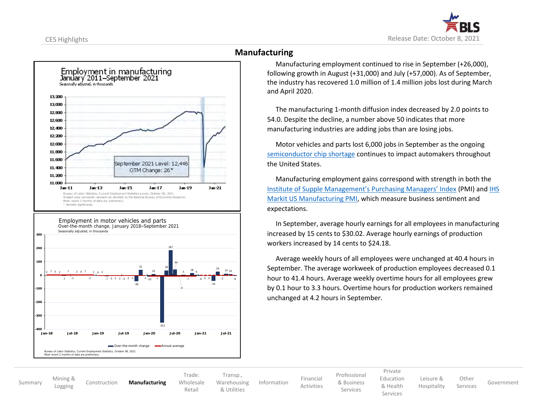<span id="page-6-0"></span>



# **Manufacturing**

 Manufacturing employment continued to rise in September (+26,000), following growth in August (+31,000) and July (+57,000). As of September, the industry has recovered 1.0 million of 1.4 million jobs lost during March and April 2020.

 The manufacturing 1-month diffusion index decreased by 2.0 points to 54.0. Despite the decline, a number above 50 indicates that more manufacturing industries are adding jobs than are losing jobs.

 Motor vehicles and parts lost 6,000 jobs in September as the ongoing [semiconductor chip shortage](https://www.cnbc.com/2021/10/03/semiconductor-chip-shortage-could-extend-through-2022-marvell-ceo.html) continues to impact automakers throughout the United States.

 Manufacturing employment gains correspond with strength in both the [Institute of Supple Management's Purchasing Managers' Index](https://www.ismworld.org/supply-management-news-and-reports/reports/ism-report-on-business/pmi/september/) (PMI) an[d IHS](https://www.markiteconomics.com/Public/Home/PressRelease/35d01e281ad047e882e458eb1ce1e2d1) [Markit US Manufacturing PMI,](https://www.markiteconomics.com/Public/Home/PressRelease/35d01e281ad047e882e458eb1ce1e2d1) which measure business sentiment and expectations.

 In September, average hourly earnings for all employees in manufacturing increased by 15 cents to \$30.02. Average hourly earnings of production workers increased by 14 cents to \$24.18.

 Average weekly hours of all employees were unchanged at 40.4 hours in September. The average workweek of production employees decreased 0.1 hour to 41.4 hours. Average weekly overtime hours for all employees grew by 0.1 hour to 3.3 hours. Overtime hours for production workers remained unchanged at 4.2 hours in September.

[Summary](#page-3-0) [Mining](#page-4-0) & [Logging](#page-4-0) [Construction](#page-5-0) **[Manufacturing](#page-6-0)** Trade: [Wholesale](#page-7-0) [Retail](#page-8-0) [Transp.,](#page-9-0) [Warehousing](#page-9-0) [& Utilities](#page-10-0) [Information](#page-11-0) [Financial](#page-12-0) [Activities](#page-12-0) [Professional](#page-13-0) [& Business](#page-13-0) Services [Private](#page-14-0) [Education](#page-14-0) [& Health](#page-14-0) Services [Leisure](#page-15-0) & [Hospitality](#page-15-0) [Other](#page-16-0) Services [Government](#page-17-0)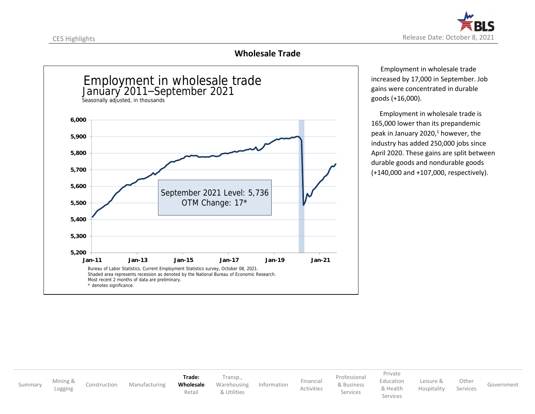<span id="page-7-0"></span>

# **Wholesale Trade**



 Employment in wholesale trade increased by 17,000 in September. Job gains were concentrated in durable goods (+16,000).

 Employment in wholesale trade is 165,000 lower than its prepandemic peak in January 2020, $<sup>1</sup>$  however, the</sup> industry has added 250,000 jobs since April 2020. These gains are split between durable goods and nondurable goods (+140,000 and +107,000, respectively).

[Summary](#page-3-0) [Mining](#page-4-0) &<br>Logging [Construction](#page-5-0) [Manufacturing](#page-6-0) **Trade: [Wholesale](#page-7-0)** [Retail](#page-8-0) [Transp.](#page-9-0), [Warehousing](#page-9-0) [& Utilities](#page-10-0) [Information](#page-11-0) [Financial](#page-12-0) [Activities](#page-12-0) [Professional](#page-13-0) [& Business](#page-13-0) Services [Private](#page-14-0) [Education](#page-14-0) [& Health](#page-14-0) Services [Leisure](#page-15-0) & [Hospitality](#page-15-0) [Other](#page-16-0) Services [Government](#page-17-0)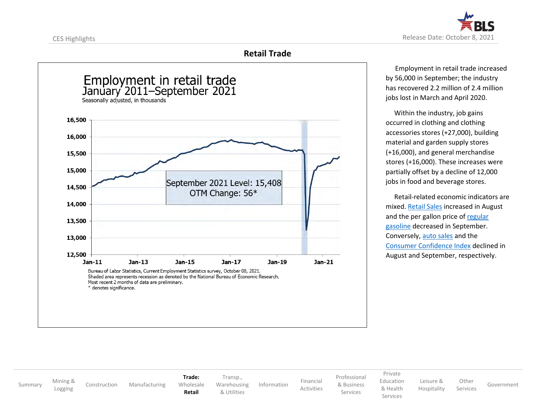<span id="page-8-0"></span>

# **Retail Trade**



 Employment in retail trade increased by 56,000 in September; the industry has recovered 2.2 million of 2.4 million jobs lost in March and April 2020.

 Within the industry, job gains occurred in clothing and clothing accessories stores (+27,000), building material and garden supply stores (+16,000), and general merchandise stores (+16,000). These increases were partially offset by a decline of 12,000 jobs in food and beverage stores.

 Retail-related economic indicators are mixed[. Retail Sales](https://www.census.gov/retail/marts/www/marts_current.pdf) increased in August and the per gallon price o[f regular](https://www.eia.gov/petroleum/gasdiesel/)  [gasoline](https://www.eia.gov/petroleum/gasdiesel/) decreased in September. Conversely, [auto sales](https://fred.stlouisfed.org/series/ALTSALES/) and the [Consumer Confidence Index](https://www.conference-board.org/us/) declined in August and September, respectively.

[Summary](#page-3-0) [Mining](#page-4-0) &<br>Logging [Construction](#page-5-0) [Manufacturing](#page-6-0) **Trade:** [Wholesale](#page-7-0) **[Retail](#page-8-0)** [Transp.](#page-9-0), [Warehousing](#page-9-0) [& Utilities](#page-10-0) [Information](#page-11-0) [Financial](#page-12-0) [Activities](#page-12-0) [Professional](#page-13-0) [& Business](#page-13-0) Services [Private](#page-14-0) [Education](#page-14-0) [& Health](#page-14-0) Services [Leisure](#page-15-0) & [Hospitality](#page-15-0) **[Other](#page-16-0)** Services [Government](#page-17-0)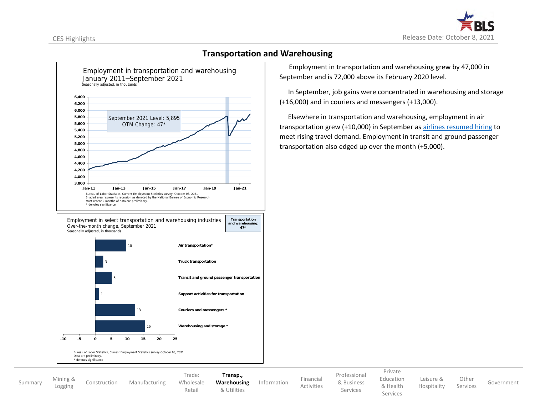

<span id="page-9-0"></span>

## **Transportation and Warehousing**

 Employment in transportation and warehousing grew by 47,000 in September and is 72,000 above its February 2020 level.

 In September, job gains were concentrated in warehousing and storage (+16,000) and in couriers and messengers (+13,000).

 Elsewhere in transportation and warehousing, employment in air transportation grew (+10,000) in September as [airlines resumed hiring](https://www.cnbc.com/2021/08/31/delta-air-lines-doubles-flight-attendant-hiring-target-to-3000.html) to meet rising travel demand. Employment in transit and ground passenger transportation also edged up over the month (+5,000).

| Summary | Mining &<br>Logging | Construction | Manufacturing |
|---------|---------------------|--------------|---------------|
|---------|---------------------|--------------|---------------|

[Wholesale](#page-7-0)

Trade:

[Retail](#page-8-0)

**[Transp.](#page-9-0), [Warehousing](#page-9-0)** [& Utilities](#page-10-0)

[Information](#page-11-0) [Financial](#page-12-0) [Activities](#page-12-0) [Professional](#page-13-0) [& Business](#page-13-0) Services

[Private](#page-14-0) [Education](#page-14-0)

Services

[& Health](#page-14-0) [Leisure](#page-15-0) & [Hospitality](#page-15-0)

[Other](#page-16-0) Services [Government](#page-17-0)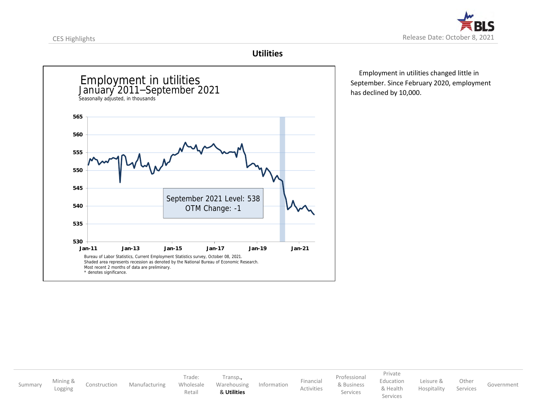<span id="page-10-0"></span>

### **Utilities**



 Employment in utilities changed little in September. Since February 2020, employment has declined by 10,000.

[Summary](#page-3-0) [Mining](#page-4-0) & [Construction](#page-5-0) [Manufacturing](#page-6-0) Trade: [Wholesale](#page-7-0) [Retail](#page-8-0) [Transp.](#page-9-0), [Warehousing](#page-9-0) & **[Utilities](#page-10-0)** [Information](#page-11-0) [Financial](#page-12-0) [Activities](#page-12-0) [Professional](#page-13-0) [& Business](#page-13-0) Services [Private](#page-14-0) [Education](#page-14-0) [& Health](#page-14-0) Services [Leisure](#page-15-0) & [Hospitality](#page-15-0) [Other](#page-16-0) Services [Government](#page-17-0)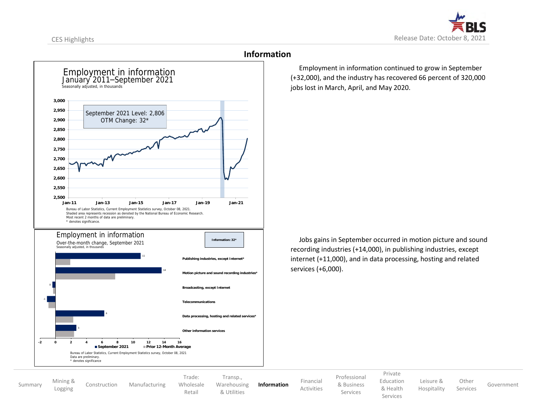<span id="page-11-0"></span>

**2,500 2,550 2,600 2,650 2,700 2,750 2,800 2,850 2,900 2,950 3,000 Jan-11 Jan-13 Jan-15 Jan-17 Jan-19 Jan-21** Employment in information September 2021 Level: 2,806 OTM Change: 32\* Bureau of Labor Statistics, Current Employment Statistics survey, October 08, 2021. Shaded area represents recession as denoted by the National Bureau of Economic Research. Most recent 2 months of data are preliminary. \* denotes significance. January 2011–September 2021 Seasonally adjusted, in thousands 3 6 -1 0 14 11 **-2 0 2 4 6 8 10 12 14 16 Other information services Data processing, hosting and related services\* Telecommunications Broadcasting, except Internet Motion picture and sound recording industries\* Publishing industries, except Internet\*** Employment in information **September 2021 Prior 12-Month Average** secondly adjusted, in thousand **Information: 32\*** Over-the-month change, September 2021 Bureau of Labor Statistics, Current Employment Statistics survey, October 08, 2021 Data are preliminary. \* denotes significance

### **Information**

 Employment in information continued to grow in September (+32,000), and the industry has recovered 66 percent of 320,000 jobs lost in March, April, and May 2020.

 Jobs gains in September occurred in motion picture and sound recording industries (+14,000), in publishing industries, except internet (+11,000), and in data processing, hosting and related services (+6,000).

[Summary](#page-3-0) [Mining](#page-4-0) &<br>Logging

[Construction](#page-5-0) [Manufacturing](#page-6-0)

Trade: [Wholesale](#page-7-0) [Retail](#page-8-0) [Transp.](#page-9-0), [Warehousing](#page-9-0) [& Utilities](#page-10-0)

**[Information](#page-11-0)** [Financial](#page-12-0)

[Activities](#page-12-0)

[Professional](#page-13-0) [& Business](#page-13-0) Services

[Private](#page-14-0) [Education](#page-14-0) [& Health](#page-14-0) [Leisure](#page-15-0) & [Hospitality](#page-15-0)

Services

**[Other](#page-16-0)** Services [Government](#page-17-0)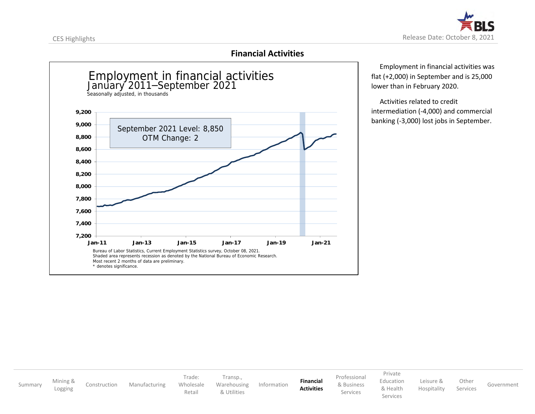

# **Financial Activities**

<span id="page-12-0"></span>

 Employment in financial activities was flat (+2,000) in September and is 25,000 lower than in February 2020.

 Activities related to credit intermediation (-4,000) and commercial banking (-3,000) lost jobs in September.

[Summary](#page-3-0) [Mining](#page-4-0) &<br>Logging [Construction](#page-5-0) [Manufacturing](#page-6-0) Trade: [Wholesale](#page-7-0) [Retail](#page-8-0) [Transp.](#page-9-0), [Warehousing](#page-9-0) [& Utilities](#page-10-0) [Information](#page-11-0) **[Financial](#page-12-0) [Activities](#page-12-0)** [Professional](#page-13-0) [& Business](#page-13-0) Services [Private](#page-14-0) [Education](#page-14-0) [& Health](#page-14-0) Services [Leisure](#page-15-0) & [Hospitality](#page-15-0) **[Other](#page-16-0)** Services [Government](#page-17-0)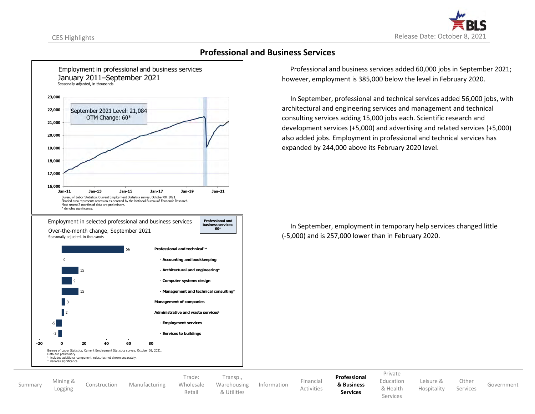<span id="page-13-0"></span>



### **Professional and Business Services**

 Professional and business services added 60,000 jobs in September 2021; however, employment is 385,000 below the level in February 2020.

 In September, professional and technical services added 56,000 jobs, with architectural and engineering services and management and technical consulting services adding 15,000 jobs each. Scientific research and development services (+5,000) and advertising and related services (+5,000) also added jobs. Employment in professional and technical services has expanded by 244,000 above its February 2020 level.

 In September, employment in temporary help services changed little (-5,000) and is 257,000 lower than in February 2020.

[Summary](#page-3-0) [Mining](#page-4-0) &<br>Logging

[Construction](#page-5-0) [Manufacturing](#page-6-0)

Trade: [Wholesale](#page-7-0) [Retail](#page-8-0) [Transp.](#page-9-0), [Warehousing](#page-9-0) [& Utilities](#page-10-0)

[Information](#page-11-0) [Financial](#page-12-0)

**[Professional](#page-13-0) [& Business](#page-13-0) Services**

[Activities](#page-12-0)

[Private](#page-14-0) [Education](#page-14-0)

Services

[& Health](#page-14-0) [Leisure](#page-15-0) & [Hospitality](#page-15-0)

Services [Government](#page-17-0)

**[Other](#page-16-0)**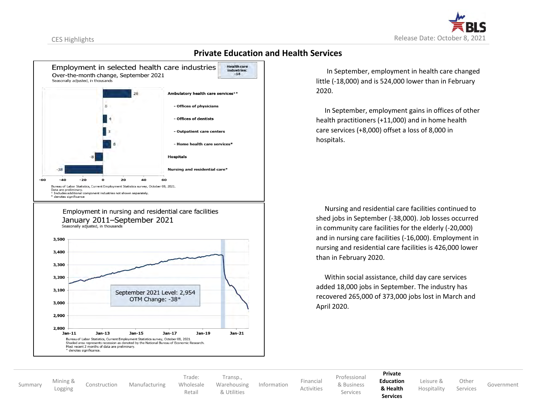<span id="page-14-0"></span>



# **Private Education and Health Services**

Employment in nursing and residential care facilities January 2011-September 2021 Seasonally adjusted, in thousands



 In September, employment in health care changed little (-18,000) and is 524,000 lower than in February 2020.

 In September, employment gains in offices of other health practitioners (+11,000) and in home health care services (+8,000) offset a loss of 8,000 in hospitals.

 Nursing and residential care facilities continued to shed jobs in September (-38,000). Job losses occurred in community care facilities for the elderly (-20,000) and in nursing care facilities (-16,000). Employment in nursing and residential care facilities is 426,000 lower than in February 2020.

 Within social assistance, child day care services added 18,000 jobs in September. The industry has recovered 265,000 of 373,000 jobs lost in March and April 2020.

[Summary](#page-3-0) [Mining](#page-4-0) &<br>Logging

[Construction](#page-5-0) [Manufacturing](#page-6-0)

Trade: [Wholesale](#page-7-0) [Retail](#page-8-0)

[Transp.](#page-9-0), [Warehousing](#page-9-0) [& Utilities](#page-10-0)

 [Activities](#page-12-0) [Information](#page-11-0) [Financial](#page-12-0) [Professional](#page-13-0) [& Business](#page-13-0) Services

**[Private](#page-14-0) [Education](#page-14-0)**

**[& Health](#page-14-0) Services**

[Leisure](#page-15-0) & [Hospitality](#page-15-0)

**[Other](#page-16-0)** 

Services [Government](#page-17-0)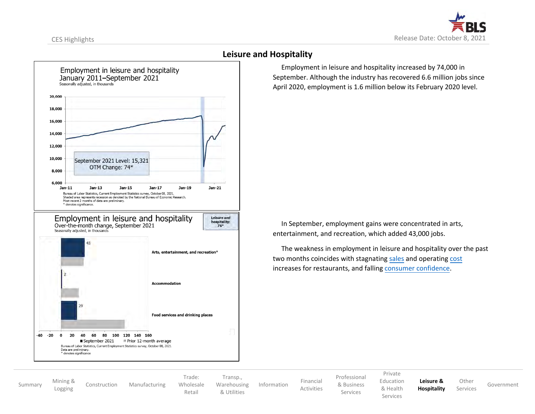<span id="page-15-0"></span>



### **Leisure and Hospitality**

 Employment in leisure and hospitality increased by 74,000 in September. Although the industry has recovered 6.6 million jobs since April 2020, employment is 1.6 million below its February 2020 level.

 In September, employment gains were concentrated in arts, entertainment, and recreation, which added 43,000 jobs.

 The weakness in employment in leisure and hospitality over the past two months coincides with stagnating [sales](https://www.census.gov/retail/marts/www/marts_current.pdf) and operating [cost](https://restaurant.org/downloads/pdfs/business/covid-19-restaurant-impact-survey-september-2021#page=4) increases for restaurants, and falling [consumer confidence.](https://conference-board.org/data/consumerconfidence.cfm) 

[Summary](#page-3-0) [Mining](#page-4-0) &<br>Logging

[Construction](#page-5-0) [Manufacturing](#page-6-0)

Trade: [Wholesale](#page-7-0) [Retail](#page-8-0)

[Transp.](#page-9-0), [Warehousing](#page-9-0) [& Utilities](#page-10-0) [Information](#page-11-0) [Financial](#page-12-0)

[Activities](#page-12-0)

[Professional](#page-13-0) [& Business](#page-13-0) Services

[Private](#page-14-0) [Education](#page-14-0)

[& Health](#page-14-0) Services

**[Leisure](#page-15-0) & [Hospitality](#page-15-0) [Other](#page-16-0)** 

Services [Government](#page-17-0)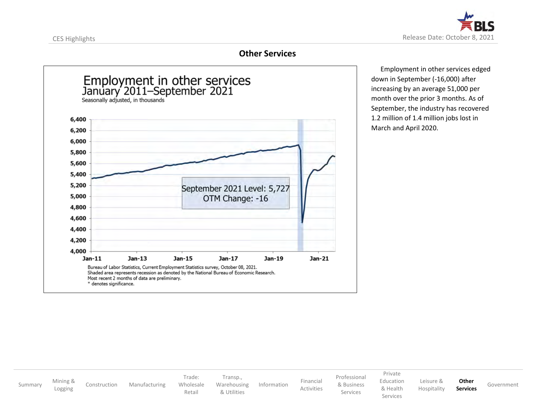<span id="page-16-0"></span>

# **Other Services**



 Employment in other services edged down in September (-16,000) after increasing by an average 51,000 per month over the prior 3 months. As of September, the industry has recovered 1.2 million of 1.4 million jobs lost in March and April 2020.

[Summary](#page-3-0) [Mining](#page-4-0) &<br>Logging [Construction](#page-5-0) [Manufacturing](#page-6-0) Trade: [Wholesale](#page-7-0) [Retail](#page-8-0) [Transp.](#page-9-0), [Warehousing](#page-9-0) [& Utilities](#page-10-0) [Information](#page-11-0) [Financial](#page-12-0) [Activities](#page-12-0) [Professional](#page-13-0) [& Business](#page-13-0) Services [Private](#page-14-0) [Education](#page-14-0) [& Health](#page-14-0) Services [Leisure](#page-15-0) & [Hospitality](#page-15-0) **[Other](#page-16-0) Services** [Government](#page-17-0)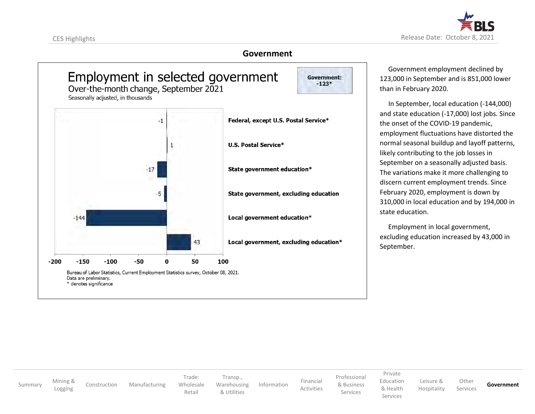<span id="page-17-0"></span>



### **Government**



 Government employment declined by 123,000 in September and is 851,000 lower than in February 2020.

 In September, local education (-144,000) and state education (-17,000) lost jobs. Since the onset of the COVID-19 pandemic, employment fluctuations have distorted the normal seasonal buildup and layoff patterns, likely contributing to the job losses in September on a seasonally adjusted basis. The variations make it more challenging to discern current employment trends. Since February 2020, employment is down by 310,000 in local education and by 194,000 in state education.

 Employment in local government, excluding education increased by 43,000 in September.

[Summary](#page-3-0) [Mining](#page-4-0) &<br>Logging [Construction](#page-5-0) [Manufacturing](#page-6-0) Trade: [Wholesale](#page-7-0) [Retail](#page-8-0) [Transp.](#page-9-0), [Warehousing](#page-9-0) [& Utilities](#page-10-0) [Information](#page-11-0) [Financial](#page-12-0) [Activities](#page-12-0) [Professional](#page-13-0) [& Business](#page-13-0) Services [Private](#page-14-0) [Education](#page-14-0) [& Health](#page-14-0) Services [Leisure](#page-15-0) & [Hospitality](#page-15-0) **[Other](#page-16-0)** Services **[Government](#page-17-0)**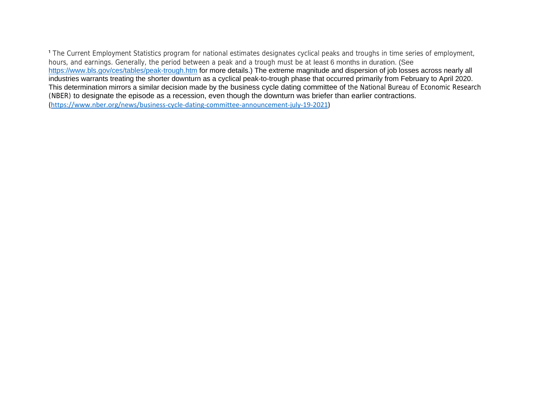<sup>1</sup> The Current Employment Statistics program for national estimates designates cyclical peaks and troughs in time series of employment, hours, and earnings. Generally, the period between a peak and a trough must be at least 6 months in duration. (See <https://www.bls.gov/ces/tables/peak-trough.htm> for more details.) The extreme magnitude and dispersion of job losses across nearly all industries warrants treating the shorter downturn as a cyclical peak-to-trough phase that occurred primarily from February to April 2020. This determination mirrors a similar decision made by the business cycle dating committee of the National Bureau of Economic Research (NBER) to designate the episode as a recession, even though the downturn was briefer than earlier contractions. [\(https://www.nber.org/news/business-cycle-dating-committee-announcement-july-19-2021\)](https://www.nber.org/news/business-cycle-dating-committee-announcement-july-19-2021)